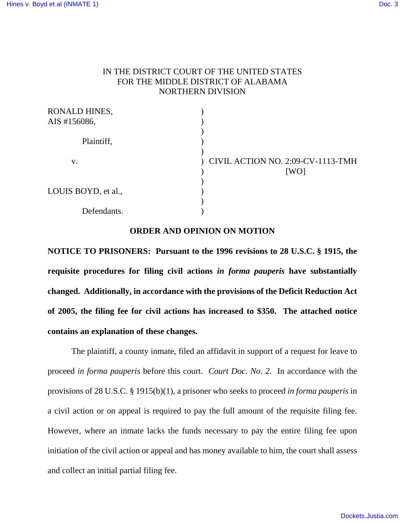### IN THE DISTRICT COURT OF THE UNITED STATES FOR THE MIDDLE DISTRICT OF ALABAMA NORTHERN DIVISION

| RONALD HINES,       |                                   |
|---------------------|-----------------------------------|
| AIS #156086,        |                                   |
|                     |                                   |
| Plaintiff,          |                                   |
|                     |                                   |
| V.                  | CIVIL ACTION NO. 2:09-CV-1113-TMH |
|                     | [WO]                              |
|                     |                                   |
| LOUIS BOYD, et al., |                                   |
|                     |                                   |
| Defendants.         |                                   |

### **ORDER AND OPINION ON MOTION**

**NOTICE TO PRISONERS: Pursuant to the 1996 revisions to 28 U.S.C. § 1915, the requisite procedures for filing civil actions** *in forma pauperis* **have substantially changed. Additionally, in accordance with the provisions of the Deficit Reduction Act of 2005, the filing fee for civil actions has increased to \$350. The attached notice contains an explanation of these changes.**

The plaintiff, a county inmate, filed an affidavit in support of a request for leave to proceed *in forma pauperis* before this court. *Court Doc. No. 2*. In accordance with the provisions of 28 U.S.C. § 1915(b)(1), a prisoner who seeks to proceed *in forma pauperis* in a civil action or on appeal is required to pay the full amount of the requisite filing fee. However, where an inmate lacks the funds necessary to pay the entire filing fee upon initiation of the civil action or appeal and has money available to him, the court shall assess and collect an initial partial filing fee.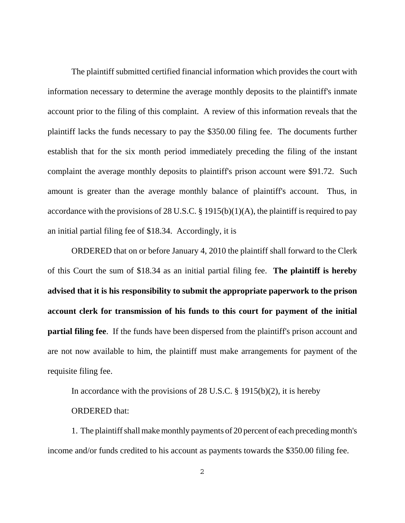The plaintiff submitted certified financial information which provides the court with information necessary to determine the average monthly deposits to the plaintiff's inmate account prior to the filing of this complaint. A review of this information reveals that the plaintiff lacks the funds necessary to pay the \$350.00 filing fee. The documents further establish that for the six month period immediately preceding the filing of the instant complaint the average monthly deposits to plaintiff's prison account were \$91.72. Such amount is greater than the average monthly balance of plaintiff's account. Thus, in accordance with the provisions of 28 U.S.C. § 1915(b)(1)(A), the plaintiff is required to pay an initial partial filing fee of \$18.34. Accordingly, it is

ORDERED that on or before January 4, 2010 the plaintiff shall forward to the Clerk of this Court the sum of \$18.34 as an initial partial filing fee. **The plaintiff is hereby advised that it is his responsibility to submit the appropriate paperwork to the prison account clerk for transmission of his funds to this court for payment of the initial partial filing fee**. If the funds have been dispersed from the plaintiff's prison account and are not now available to him, the plaintiff must make arrangements for payment of the requisite filing fee.

In accordance with the provisions of 28 U.S.C.  $\S$  1915(b)(2), it is hereby

#### ORDERED that:

1. The plaintiff shall make monthly payments of 20 percent of each preceding month's income and/or funds credited to his account as payments towards the \$350.00 filing fee.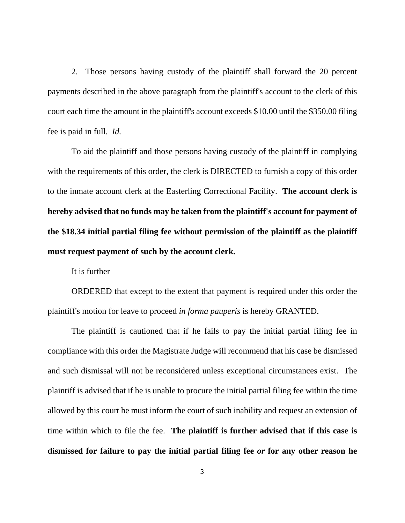2. Those persons having custody of the plaintiff shall forward the 20 percent payments described in the above paragraph from the plaintiff's account to the clerk of this court each time the amount in the plaintiff's account exceeds \$10.00 until the \$350.00 filing fee is paid in full. *Id.* 

To aid the plaintiff and those persons having custody of the plaintiff in complying with the requirements of this order, the clerk is DIRECTED to furnish a copy of this order to the inmate account clerk at the Easterling Correctional Facility. **The account clerk is hereby advised that no funds may be taken from the plaintiff's account for payment of the \$18.34 initial partial filing fee without permission of the plaintiff as the plaintiff must request payment of such by the account clerk.**

It is further

ORDERED that except to the extent that payment is required under this order the plaintiff's motion for leave to proceed *in forma pauperis* is hereby GRANTED.

The plaintiff is cautioned that if he fails to pay the initial partial filing fee in compliance with this order the Magistrate Judge will recommend that his case be dismissed and such dismissal will not be reconsidered unless exceptional circumstances exist. The plaintiff is advised that if he is unable to procure the initial partial filing fee within the time allowed by this court he must inform the court of such inability and request an extension of time within which to file the fee. **The plaintiff is further advised that if this case is dismissed for failure to pay the initial partial filing fee** *or* **for any other reason he**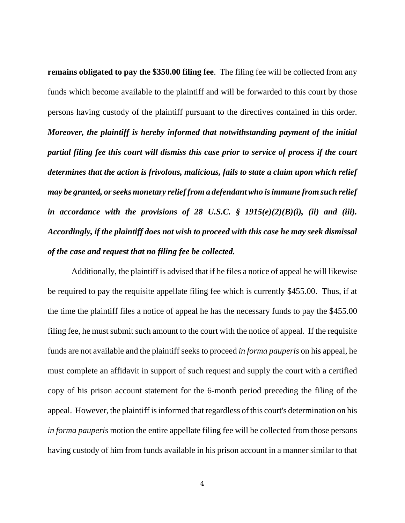**remains obligated to pay the \$350.00 filing fee**. The filing fee will be collected from any funds which become available to the plaintiff and will be forwarded to this court by those persons having custody of the plaintiff pursuant to the directives contained in this order. *Moreover, the plaintiff is hereby informed that notwithstanding payment of the initial partial filing fee this court will dismiss this case prior to service of process if the court determines that the action is frivolous, malicious, fails to state a claim upon which relief may be granted, or seeks monetary relief from a defendant who is immune from such relief in accordance with the provisions of 28 U.S.C. § 1915(e)(2)(B)(i), (ii) and (iii). Accordingly, if the plaintiff does not wish to proceed with this case he may seek dismissal of the case and request that no filing fee be collected.*

Additionally, the plaintiff is advised that if he files a notice of appeal he will likewise be required to pay the requisite appellate filing fee which is currently \$455.00. Thus, if at the time the plaintiff files a notice of appeal he has the necessary funds to pay the \$455.00 filing fee, he must submit such amount to the court with the notice of appeal. If the requisite funds are not available and the plaintiff seeks to proceed *in forma pauperis* on his appeal, he must complete an affidavit in support of such request and supply the court with a certified copy of his prison account statement for the 6-month period preceding the filing of the appeal. However, the plaintiff is informed that regardless of this court's determination on his *in forma pauperis* motion the entire appellate filing fee will be collected from those persons having custody of him from funds available in his prison account in a manner similar to that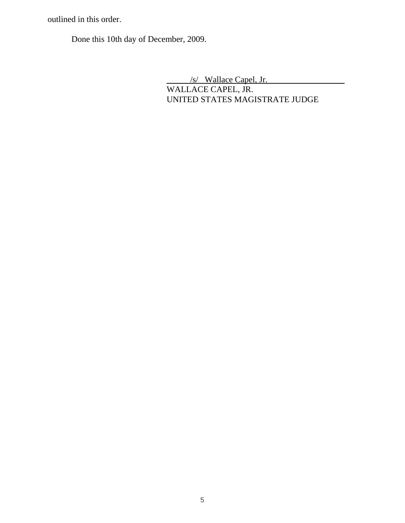outlined in this order.

Done this 10th day of December, 2009.

 /s/ Wallace Capel, Jr. WALLACE CAPEL, JR. UNITED STATES MAGISTRATE JUDGE